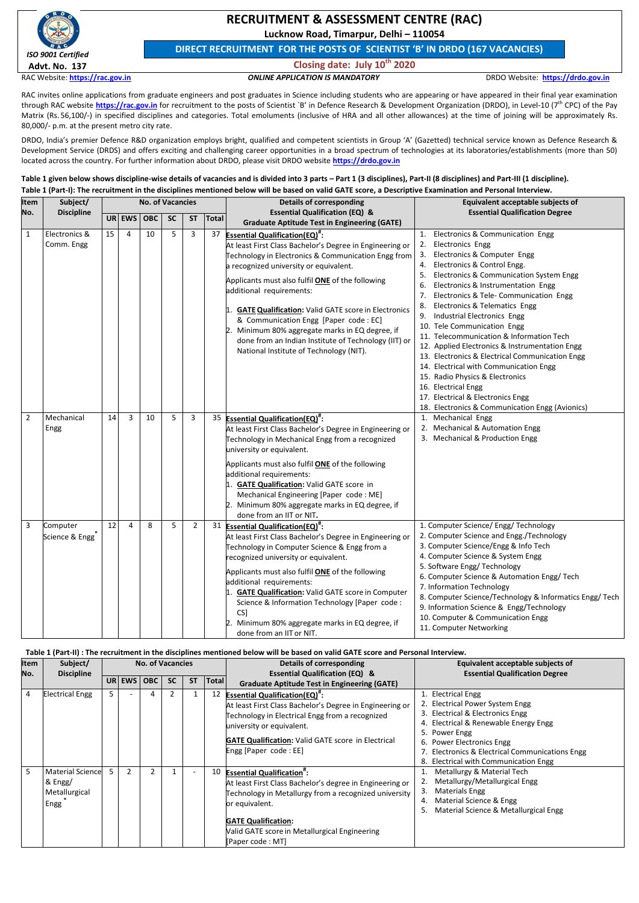

# **RECRUITMENT & ASSESSMENT CENTRE (RAC)**

**Lucknow Road, Timarpur, Delhi – 110054**

**DIRECT RECRUITMENT FOR THE POSTS OF SCIENTIST 'B' IN DRDO (167 VACANCIES)**

# **Closing date: July 10th 2020**

RAC Website: **[https://rac.gov.in](https://rac.gov.in/)** *ONLINE APPLICATION IS MANDATORY* DRDO Website: **[https://drdo.gov.in](https://drdo.gov.in/)**

RAC invites online applications from graduate engineers and post graduates in Science including students who are appearing or have appeared in their final year examination through RAC website **[https://rac.gov.in](https://rac.gov.in/)** for recruitment to the posts of Scientist `B' in Defence Research & Development Organization (DRDO), in Level-10 (7<sup>th</sup> CPC) of the Pay Matrix (Rs. 56,100/-) in specified disciplines and categories. Total emoluments (inclusive of HRA and all other allowances) at the time of joining will be approximately Rs. 80,000/- p.m. at the present metro city rate.

DRDO, India's premier Defence R&D organization employs bright, qualified and competent scientists in Group 'A' (Gazetted) technical service known as Defence Research & Development Service (DRDS) and offers exciting and challenging career opportunities in a broad spectrum of technologies at its laboratories/establishments (more than 50) located across the country. For further information about DRDO, please visit DRDO website **[https://drdo.gov.in](https://drdo.gov.in/)**

Table 1 given below shows discipline-wise details of vacancies and is divided into 3 parts – Part 1 (3 disciplines), Part-II (8 disciplines) and Part-III (1 discipline). **Table 1 (Part-I): The recruitment in the disciplines mentioned below will be based on valid GATE score, a Descriptive Examination and Personal Interview.**

| Item           | Subject/<br><b>Discipline</b>        |           |           | <b>No. of Vacancies</b> |           |           |              | <b>Details of corresponding</b>                                                                                                                                                                                                                                                                                                                                                                                                                                                                                                                      | Equivalent acceptable subjects of                                                                                                                                                                                                                                                                                                                                                                                                                                                                                                                                                                                                                                                                                                                                 |  |
|----------------|--------------------------------------|-----------|-----------|-------------------------|-----------|-----------|--------------|------------------------------------------------------------------------------------------------------------------------------------------------------------------------------------------------------------------------------------------------------------------------------------------------------------------------------------------------------------------------------------------------------------------------------------------------------------------------------------------------------------------------------------------------------|-------------------------------------------------------------------------------------------------------------------------------------------------------------------------------------------------------------------------------------------------------------------------------------------------------------------------------------------------------------------------------------------------------------------------------------------------------------------------------------------------------------------------------------------------------------------------------------------------------------------------------------------------------------------------------------------------------------------------------------------------------------------|--|
| No.            |                                      | <b>UR</b> | EWS   OBC |                         | <b>SC</b> | <b>ST</b> | <b>Total</b> | <b>Essential Qualification (EQ) &amp;</b><br><b>Graduate Aptitude Test in Engineering (GATE)</b>                                                                                                                                                                                                                                                                                                                                                                                                                                                     | <b>Essential Qualification Degree</b>                                                                                                                                                                                                                                                                                                                                                                                                                                                                                                                                                                                                                                                                                                                             |  |
| $\mathbf{1}$   | Electronics &<br>Comm. Engg          | 15        | 4         | 10                      | 5.        | 3         | 37           | <b>Essential Qualification(EQ)</b> ":<br>At least First Class Bachelor's Degree in Engineering or<br>Technology in Electronics & Communication Engg from<br>a recognized university or equivalent.<br>Applicants must also fulfil <b>ONE</b> of the following<br>additional requirements:<br><b>GATE Qualification: Valid GATE score in Electronics</b><br>& Communication Engg [Paper code : EC]<br>Minimum 80% aggregate marks in EQ degree, if<br>done from an Indian Institute of Technology (IIT) or<br>National Institute of Technology (NIT). | Electronics & Communication Engg<br><b>Electronics Engg</b><br>2.<br>Electronics & Computer Engg<br>3.<br>Electronics & Control Engg.<br>4.<br>Electronics & Communication System Engg<br>5.<br>Electronics & Instrumentation Engg<br>6.<br>Electronics & Tele- Communication Engg<br>$\overline{7}$<br><b>Electronics &amp; Telematics Engg</b><br>Industrial Electronics Engg<br>9.<br>10. Tele Communication Engg<br>11. Telecommunication & Information Tech<br>12. Applied Electronics & Instrumentation Engg<br>13. Electronics & Electrical Communication Engg<br>14. Electrical with Communication Engg<br>15. Radio Physics & Electronics<br>16. Electrical Engg<br>17. Electrical & Electronics Engg<br>18. Electronics & Communication Engg (Avionics) |  |
| $\overline{2}$ | Mechanical<br>Engg                   | 14        | 3         | 10                      | 5         | 3         |              | 35 Essential Qualification(EQ)":<br>At least First Class Bachelor's Degree in Engineering or<br>Technology in Mechanical Engg from a recognized<br>university or equivalent.<br>Applicants must also fulfil <b>ONE</b> of the following<br>additional requirements:<br><b>GATE Qualification: Valid GATE score in</b><br>Mechanical Engineering [Paper code: ME]<br>Minimum 80% aggregate marks in EQ degree, if<br>done from an IIT or NIT.                                                                                                         | 1. Mechanical Engg<br>2. Mechanical & Automation Engg<br>3. Mechanical & Production Engg                                                                                                                                                                                                                                                                                                                                                                                                                                                                                                                                                                                                                                                                          |  |
| 3              | Computer<br>$\ast$<br>Science & Engg | 12        | 4         | 8                       | 5.        | 2         |              | 31 Essential Qualification(EQ) <sup>#</sup> :<br>At least First Class Bachelor's Degree in Engineering or<br>Technology in Computer Science & Engg from a<br>recognized university or equivalent.<br>Applicants must also fulfil <b>ONE</b> of the following<br>additional requirements:<br><b>GATE Qualification: Valid GATE score in Computer</b><br>Science & Information Technology [Paper code :<br>CS]<br>Minimum 80% aggregate marks in EQ degree, if<br>done from an IIT or NIT.                                                             | 1. Computer Science/ Engg/ Technology<br>2. Computer Science and Engg./Technology<br>3. Computer Science/Engg & Info Tech<br>4. Computer Science & System Engg<br>5. Software Engg/ Technology<br>6. Computer Science & Automation Engg/ Tech<br>7. Information Technology<br>8. Computer Science/Technology & Informatics Engg/ Tech<br>9. Information Science & Engg/Technology<br>10. Computer & Communication Engg<br>11. Computer Networking                                                                                                                                                                                                                                                                                                                 |  |

# **Table 1 (Part-II) : The recruitment in the disciplines mentioned below will be based on valid GATE score and Personal Interview.**

| <b>Item</b> | Subject/          | <b>No. of Vacancies</b>                                     | Details of corresponding                            | Equivalent acceptable subjects of     |  |  |  |  |  |  |  |
|-------------|-------------------|-------------------------------------------------------------|-----------------------------------------------------|---------------------------------------|--|--|--|--|--|--|--|
| No.         | <b>Discipline</b> |                                                             | <b>Essential Qualification (EQ) &amp;</b>           | <b>Essential Qualification Degree</b> |  |  |  |  |  |  |  |
|             |                   | <b>SC</b><br><b>OBC</b><br><b>ST</b><br>$T$ Total<br>UR EWS | <b>Graduate Antitude Test in Engineering (GATE)</b> |                                       |  |  |  |  |  |  |  |

|    |                        |  | URIEWSIUDUI | -SL | эı | <b>TOtal</b> | <b>Graduate Aptitude Test in Engineering (GATE)</b>       |                                                 |
|----|------------------------|--|-------------|-----|----|--------------|-----------------------------------------------------------|-------------------------------------------------|
| 4  | <b>Electrical Engg</b> |  | 4           |     |    | 12           | <b>Essential Qualification(EQ)</b> <sup>#</sup> :         | 1. Electrical Engg                              |
|    |                        |  |             |     |    |              | At least First Class Bachelor's Degree in Engineering or  | 2. Electrical Power System Engg                 |
|    |                        |  |             |     |    |              | Technology in Electrical Engg from a recognized           | 3. Electrical & Electronics Engg                |
|    |                        |  |             |     |    |              | university or equivalent.                                 | 4. Electrical & Renewable Energy Engg           |
|    |                        |  |             |     |    |              |                                                           | 5. Power Engg                                   |
|    |                        |  |             |     |    |              | <b>GATE Qualification: Valid GATE score in Electrical</b> | 6. Power Electronics Engg                       |
|    |                        |  |             |     |    |              | Engg [Paper code: EE]                                     | 7. Electronics & Electrical Communications Engg |
|    |                        |  |             |     |    |              |                                                           | 8. Electrical with Communication Engg           |
| 5. | Material Science       |  |             |     |    | 10           | <b>Essential Qualification<sup>#</sup>:</b>               | Metallurgy & Material Tech                      |
|    | & Engg/                |  |             |     |    |              | At least First Class Bachelor's degree in Engineering or  | Metallurgy/Metallurgical Engg                   |
|    | Metallurgical          |  |             |     |    |              | Technology in Metallurgy from a recognized university     | <b>Materials Engg</b><br>3.                     |
|    | Engg                   |  |             |     |    |              | or equivalent.                                            | Material Science & Engg<br>4.                   |
|    |                        |  |             |     |    |              |                                                           | Material Science & Metallurgical Engg<br>5.     |
|    |                        |  |             |     |    |              | <b>GATE Qualification:</b>                                |                                                 |
|    |                        |  |             |     |    |              | Valid GATE score in Metallurgical Engineering             |                                                 |
|    |                        |  |             |     |    |              | [Paper code: MT]                                          |                                                 |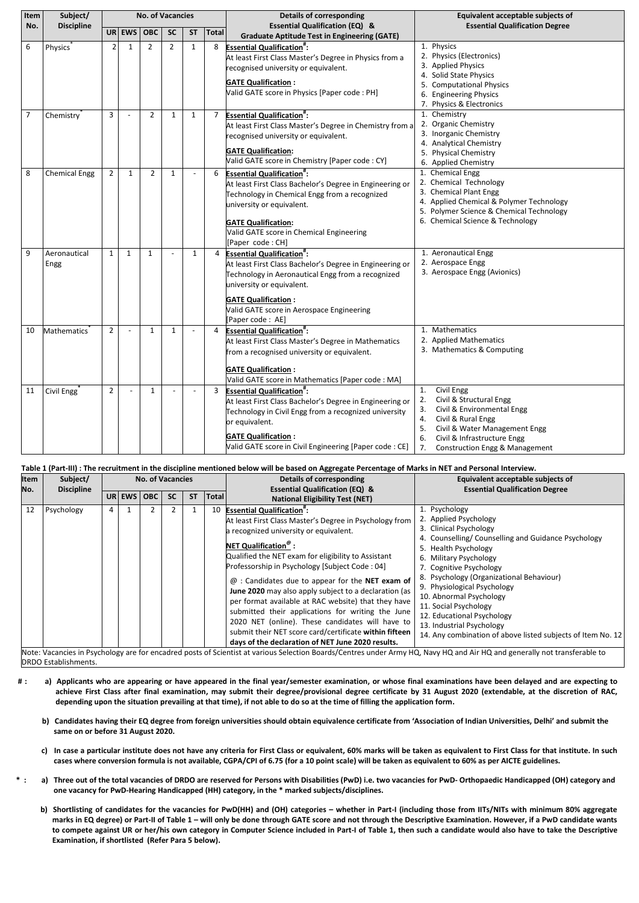| Item           | Subject/                |                |              | <b>No. of Vacancies</b> |                |           |                | <b>Details of corresponding</b>                                                                                                                                                                                                                                                     | Equivalent acceptable subjects of                                                                                                                                                                                                                |  |
|----------------|-------------------------|----------------|--------------|-------------------------|----------------|-----------|----------------|-------------------------------------------------------------------------------------------------------------------------------------------------------------------------------------------------------------------------------------------------------------------------------------|--------------------------------------------------------------------------------------------------------------------------------------------------------------------------------------------------------------------------------------------------|--|
| No.            | <b>Discipline</b>       |                |              | $UR$ EWS OBC            | <b>SC</b>      | <b>ST</b> | <b>Total</b>   | <b>Essential Qualification (EQ) &amp;</b><br><b>Graduate Aptitude Test in Engineering (GATE)</b>                                                                                                                                                                                    | <b>Essential Qualification Degree</b>                                                                                                                                                                                                            |  |
| 6              | <b>Physics</b>          | 2              | 1            | $\overline{2}$          | $\overline{2}$ | 1         | 8              | <b>Essential Qualification":</b><br>At least First Class Master's Degree in Physics from a<br>recognised university or equivalent.<br><b>GATE Qualification:</b><br>Valid GATE score in Physics [Paper code : PH]                                                                   | 1. Physics<br>2. Physics (Electronics)<br>3. Applied Physics<br>4. Solid State Physics<br>5. Computational Physics<br>6. Engineering Physics<br>7. Physics & Electronics                                                                         |  |
| $\overline{7}$ | Chemistry               | 3              |              | $\overline{2}$          | $\mathbf{1}$   | 1         | $\overline{7}$ | <b>Essential Qualification<sup>#</sup>:</b><br>At least First Class Master's Degree in Chemistry from a<br>recognised university or equivalent.<br><b>GATE Qualification:</b><br>Valid GATE score in Chemistry [Paper code: CY]                                                     | 1. Chemistry<br>2. Organic Chemistry<br>3. Inorganic Chemistry<br>4. Analytical Chemistry<br>5. Physical Chemistry<br>6. Applied Chemistry                                                                                                       |  |
| 8              | <b>Chemical Engg</b>    | $\overline{2}$ | 1            | $\overline{2}$          | 1              |           | 6              | <b>Essential Qualification<sup>#</sup>:</b><br>At least First Class Bachelor's Degree in Engineering or<br>Technology in Chemical Engg from a recognized<br>university or equivalent.<br><b>GATE Qualification:</b><br>Valid GATE score in Chemical Engineering<br>[Paper code: CH] | 1. Chemical Engg<br>2. Chemical Technology<br>3. Chemical Plant Engg<br>4. Applied Chemical & Polymer Technology<br>5. Polymer Science & Chemical Technology<br>6. Chemical Science & Technology                                                 |  |
| 9              | Aeronautical<br>Engg    | 1              | $\mathbf{1}$ | 1                       |                | 1         | 4              | <b>Essential Qualification":</b><br>At least First Class Bachelor's Degree in Engineering or<br>Technology in Aeronautical Engg from a recognized<br>university or equivalent.<br><b>GATE Qualification:</b><br>Valid GATE score in Aerospace Engineering<br>[Paper code: AE]       | 1. Aeronautical Engg<br>2. Aerospace Engg<br>3. Aerospace Engg (Avionics)                                                                                                                                                                        |  |
| 10             | Mathematics             | 2              |              | 1                       | 1              |           | 4              | <b>Essential Qualification#:</b><br>At least First Class Master's Degree in Mathematics<br>from a recognised university or equivalent.<br><b>GATE Qualification:</b><br>Valid GATE score in Mathematics [Paper code : MA]                                                           | 1. Mathematics<br>2. Applied Mathematics<br>3. Mathematics & Computing                                                                                                                                                                           |  |
| 11             | Civil Engg <sup>®</sup> | $\overline{2}$ |              | $\mathbf{1}$            |                |           | 3              | <b>Essential Qualification<sup>#</sup>:</b><br>At least First Class Bachelor's Degree in Engineering or<br>Technology in Civil Engg from a recognized university<br>or equivalent.<br><b>GATE Qualification:</b><br>Valid GATE score in Civil Engineering [Paper code : CE]         | Civil Engg<br>1.<br>Civil & Structural Engg<br>2.<br>Civil & Environmental Engg<br>3.<br>Civil & Rural Engg<br>4.<br>Civil & Water Management Engg<br>5.<br>Civil & Infrastructure Engg<br>6.<br><b>Construction Engg &amp; Management</b><br>7. |  |

# **Table 1 (Part-III) : The recruitment in the discipline mentioned below will be based on Aggregate Percentage of Marks in NET and Personal Interview.**

| Item | Subject/          |        | <b>No. of Vacancies</b> |           |           |              | <b>Details of corresponding</b>                                                                                                                                                                                                                                                                                                                                                                                                                                                                                                                                                                                                                                                                                     | Equivalent acceptable subjects of                                                                                                                                                                                                                                                                                                                                                                                                                            |
|------|-------------------|--------|-------------------------|-----------|-----------|--------------|---------------------------------------------------------------------------------------------------------------------------------------------------------------------------------------------------------------------------------------------------------------------------------------------------------------------------------------------------------------------------------------------------------------------------------------------------------------------------------------------------------------------------------------------------------------------------------------------------------------------------------------------------------------------------------------------------------------------|--------------------------------------------------------------------------------------------------------------------------------------------------------------------------------------------------------------------------------------------------------------------------------------------------------------------------------------------------------------------------------------------------------------------------------------------------------------|
| No.  | <b>Discipline</b> |        |                         |           |           |              | <b>Essential Qualification (EQ) &amp;</b>                                                                                                                                                                                                                                                                                                                                                                                                                                                                                                                                                                                                                                                                           | <b>Essential Qualification Degree</b>                                                                                                                                                                                                                                                                                                                                                                                                                        |
|      |                   | UR EWS | <b>OBC</b>              | <b>SC</b> | <b>ST</b> | <b>Total</b> | <b>National Eligibility Test (NET)</b>                                                                                                                                                                                                                                                                                                                                                                                                                                                                                                                                                                                                                                                                              |                                                                                                                                                                                                                                                                                                                                                                                                                                                              |
| 12   | Psychology        |        |                         |           |           | 10           | <b>Essential Qualification":</b><br>At least First Class Master's Degree in Psychology from<br>a recognized university or equivalent.<br><b>NET Qualification</b> <sup><math>\mathbf{\degree}</math> :</sup><br>Qualified the NET exam for eligibility to Assistant<br>Professorship in Psychology [Subject Code : 04]<br>$@:$ Candidates due to appear for the NET exam of<br>June 2020 may also apply subject to a declaration (as<br>per format available at RAC website) that they have<br>submitted their applications for writing the June<br>2020 NET (online). These candidates will have to<br>submit their NET score card/certificate within fifteen<br>days of the declaration of NET June 2020 results. | 1. Psychology<br>2. Applied Psychology<br>3. Clinical Psychology<br>4. Counselling/Counselling and Guidance Psychology<br>5. Health Psychology<br>6. Military Psychology<br>7. Cognitive Psychology<br>8. Psychology (Organizational Behaviour)<br>9. Physiological Psychology<br>10. Abnormal Psychology<br>11. Social Psychology<br>12. Educational Psychology<br>13. Industrial Psychology<br>14. Any combination of above listed subjects of Item No. 12 |

Note: Vacancies in Psychology are for encadred posts of Scientist at various Selection Boards/Centres under Army HQ, Navy HQ and Air HQ and generally not transferable to DRDO Establishments.

**# : a) Applicants who are appearing or have appeared in the final year/semester examination, or whose final examinations have been delayed and are expecting to** 

- **achieve First Class after final examination, may submit their degree/provisional degree certificate by 31 August 2020 (extendable, at the discretion of RAC, depending upon the situation prevailing at that time), if not able to do so at the time of filling the application form.**
	- **b) Candidates having their EQ degree from foreign universities should obtain equivalence certificate from 'Association of Indian Universities, Delhi' and submit the same on or before 31 August 2020.**
	- **c) In case a particular institute does not have any criteria for First Class or equivalent, 60% marks will be taken as equivalent to First Class for that institute. In such cases where conversion formula is not available, CGPA/CPI of 6.75 (for a 10 point scale) will be taken as equivalent to 60% as per AICTE guidelines.**
- \*: a) Three out of the total vacancies of DRDO are reserved for Persons with Disabilities (PwD) i.e. two vacancies for PwD- Orthopaedic Handicapped (OH) category and **one vacancy for PwD-Hearing Handicapped (HH) category, in the \* marked subjects/disciplines.**
	- **b) Shortlisting of candidates for the vacancies for PwD(HH) and (OH) categories – whether in Part-I (including those from IITs/NITs with minimum 80% aggregate marks in EQ degree) or Part-II of Table 1 – will only be done through GATE score and not through the Descriptive Examination. However, if a PwD candidate wants to compete against UR or her/his own category in Computer Science included in Part-I of Table 1, then such a candidate would also have to take the Descriptive Examination, if shortlisted (Refer Para 5 below).**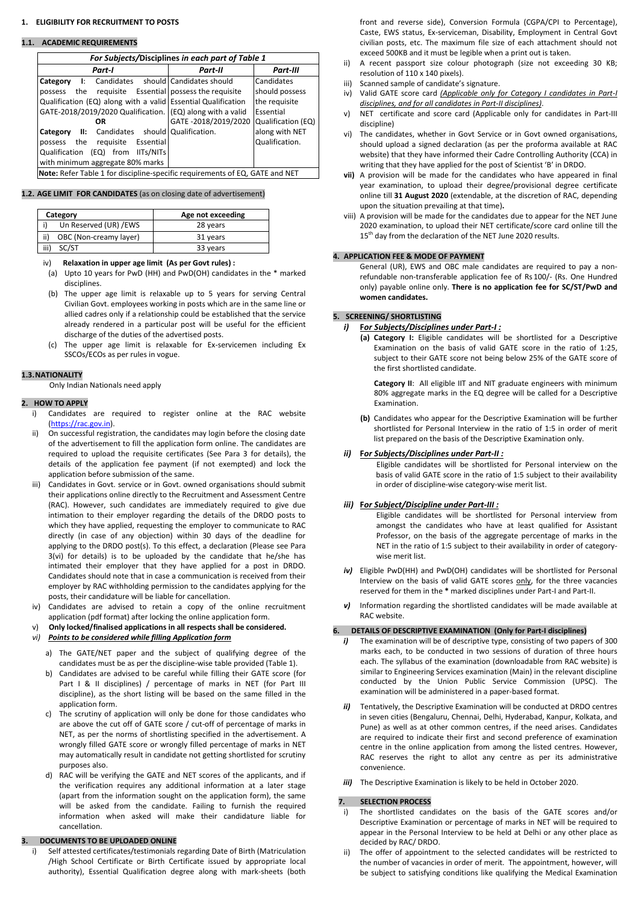#### **1. ELIGIBILITY FOR RECRUITMENT TO POSTS**

#### **1.1. ACADEMIC REQUIREMENTS**

| For Subjects/Disciplines in each part of Table 1                             |                      |                    |  |  |  |  |  |  |  |  |  |
|------------------------------------------------------------------------------|----------------------|--------------------|--|--|--|--|--|--|--|--|--|
| <b>Part-I</b>                                                                | Part-II              | <b>Part-III</b>    |  |  |  |  |  |  |  |  |  |
| I: Candidates should Candidates should<br>Category                           |                      | Candidates         |  |  |  |  |  |  |  |  |  |
| the requisite Essential   possess the requisite<br>possess                   |                      | should possess     |  |  |  |  |  |  |  |  |  |
| Qualification (EQ) along with a valid Essential Qualification                |                      | the requisite      |  |  |  |  |  |  |  |  |  |
| GATE-2018/2019/2020 Qualification. (EQ) along with a valid                   |                      | Essential          |  |  |  |  |  |  |  |  |  |
| <b>OR</b>                                                                    | GATE -2018/2019/2020 | Qualification (EQ) |  |  |  |  |  |  |  |  |  |
| Category II: Candidates should Qualification.                                |                      | along with NET     |  |  |  |  |  |  |  |  |  |
| possess the requisite Essential                                              |                      | Qualification.     |  |  |  |  |  |  |  |  |  |
| Qualification (EQ) from IITs/NITs                                            |                      |                    |  |  |  |  |  |  |  |  |  |
| with minimum aggregate 80% marks                                             |                      |                    |  |  |  |  |  |  |  |  |  |
| Note: Refer Table 1 for discipline-specific requirements of EQ, GATE and NET |                      |                    |  |  |  |  |  |  |  |  |  |

#### **1.2. AGE LIMIT FOR CANDIDATES** (as on closing date of advertisement)

| Age not exceeding |  |  |  |  |
|-------------------|--|--|--|--|
| 28 years          |  |  |  |  |
| 31 years          |  |  |  |  |
| 33 years          |  |  |  |  |
|                   |  |  |  |  |

#### iv) **Relaxation in upper age limit (As per Govt rules) :**

- (a) Upto 10 years for PwD (HH) and PwD(OH) candidates in the \* marked disciplines.
- (b) The upper age limit is relaxable up to 5 years for serving Central Civilian Govt. employees working in posts which are in the same line or allied cadres only if a relationship could be established that the service already rendered in a particular post will be useful for the efficient discharge of the duties of the advertised posts.
- (c) The upper age limit is relaxable for Ex-servicemen including Ex SSCOs/ECOs as per rules in vogue.

## **1.3.NATIONALITY**

Only Indian Nationals need apply

## **2. HOW TO APPLY**

- *i*) The examination will be of descriptive type, consisting of two papers of 300 marks each, to be conducted in two sessions of duration of three hours each. The syllabus of the examination (downloadable from RAC website) is similar to Engineering Services examination (Main) in the relevant discipline conducted by the Union Public Service Commission (UPSC). The
- Part I & II disciplines) / percentage of marks in NET (for Part III discipline), as the short listing will be based on the same filled in the application form.
- c) The scrutiny of application will only be done for those candidates who are above the cut off of GATE score / cut-off of percentage of marks in NET, as per the norms of shortlisting specified in the advertisement. A wrongly filled GATE score or wrongly filled percentage of marks in NET may automatically result in candidate not getting shortlisted for scrutiny purposes also.
- d) RAC will be verifying the GATE and NET scores of the applicants, and if the verification requires any additional information at a later stage (apart from the information sought on the application form), the same will be asked from the candidate. Failing to furnish the required information when asked will make their candidature liable for cancellation.
- ii) A recent passport size colour photograph (size not exceeding 30 KB; resolution of 110 x 140 pixels).
- iii) Scanned sample of candidate's signature.
- iv) Valid GATE score card *(Applicable only for Category I candidates in Part-I disciplines, and for all candidates in Part-II disciplines)*.
- v) NET certificate and score card (Applicable only for candidates in Part-III discipline)
- vi) The candidates, whether in Govt Service or in Govt owned organisations, should upload a signed declaration (as per the proforma available at RAC website) that they have informed their Cadre Controlling Authority (CCA) in writing that they have applied for the post of Scientist 'B' in DRDO.
- **vii)** A provision will be made for the candidates who have appeared in final year examination, to upload their degree/provisional degree certificate online till **31 August 2020** (extendable, at the discretion of RAC, depending upon the situation prevailing at that time)**.**
- viii) A provision will be made for the candidates due to appear for the NET June 2020 examination, to upload their NET certificate/score card online till the  $15<sup>th</sup>$  day from the declaration of the NET June 2020 results.

- i) Candidates are required to register online at the RAC website [\(https://rac.gov.in\)](https://rac.gov.in/).
- ii) On successful registration, the candidates may login before the closing date of the advertisement to fill the application form online. The candidates are required to upload the requisite certificates (See Para 3 for details), the details of the application fee payment (if not exempted) and lock the application before submission of the same.
- iii) Candidates in Govt. service or in Govt. owned organisations should submit their applications online directly to the Recruitment and Assessment Centre (RAC). However, such candidates are immediately required to give due intimation to their employer regarding the details of the DRDO posts to which they have applied, requesting the employer to communicate to RAC directly (in case of any objection) within 30 days of the deadline for applying to the DRDO post(s). To this effect, a declaration (Please see Para 3(vi) for details) is to be uploaded by the candidate that he/she has intimated their employer that they have applied for a post in DRDO. Candidates should note that in case a communication is received from their employer by RAC withholding permission to the candidates applying for the posts, their candidature will be liable for cancellation.
- iv) Candidates are advised to retain a copy of the online recruitment application (pdf format) after locking the online application form.
- v) **Only locked/finalised applications in all respects shall be considered.**
- *vi) Points to be considered while filling Application form*
	- a) The GATE/NET paper and the subject of qualifying degree of the candidates must be as per the discipline-wise table provided (Table 1). b) Candidates are advised to be careful while filling their GATE score (for
	-

- *ii)* Tentatively, the Descriptive Examination will be conducted at DRDO centres in seven cities (Bengaluru, Chennai, Delhi, Hyderabad, Kanpur, Kolkata, and Pune) as well as at other common centres, if the need arises. Candidates are required to indicate their first and second preference of examination centre in the online application from among the listed centres. However, RAC reserves the right to allot any centre as per its administrative convenience.
- *iii*) The Descriptive Examination is likely to be held in October 2020.

#### **3. DOCUMENTS TO BE UPLOADED ONLINE**

i) Self attested certificates/testimonials regarding Date of Birth (Matriculation /High School Certificate or Birth Certificate issued by appropriate local authority), Essential Qualification degree along with mark-sheets (both front and reverse side), Conversion Formula (CGPA/CPI to Percentage), Caste, EWS status, Ex-serviceman, Disability, Employment in Central Govt civilian posts, etc. The maximum file size of each attachment should not exceed 500KB and it must be legible when a print out is taken.

#### **4. APPLICATION FEE & MODE OF PAYMENT**

General (UR), EWS and OBC male candidates are required to pay a nonrefundable non-transferable application fee of Rs 100/- (Rs. One Hundred only) payable online only. **There is no application fee for SC/ST/PwD and women candidates.**

## **5. SCREENING/ SHORTLISTING**

#### *i)* **F***or Subjects/Disciplines under Part-I :*

**(a) Category I:** Eligible candidates will be shortlisted for a Descriptive Examination on the basis of valid GATE score in the ratio of 1:25, subject to their GATE score not being below 25% of the GATE score of the first shortlisted candidate.

**Category II**: All eligible IIT and NIT graduate engineers with minimum 80% aggregate marks in the EQ degree will be called for a Descriptive Examination.

**(b)** Candidates who appear for the Descriptive Examination will be further shortlisted for Personal Interview in the ratio of 1:5 in order of merit list prepared on the basis of the Descriptive Examination only.

## *ii)* **F***or Subjects/Disciplines under Part-II :*

Eligible candidates will be shortlisted for Personal interview on the basis of valid GATE score in the ratio of 1:5 subject to their availability in order of discipline-wise category-wise merit list.

## *iii)* **F***or Subject/Discipline under Part-III :*

Eligible candidates will be shortlisted for Personal interview from amongst the candidates who have at least qualified for Assistant Professor, on the basis of the aggregate percentage of marks in the NET in the ratio of 1:5 subject to their availability in order of categorywise merit list.

- *iv)* Eligible PwD(HH) and PwD(OH) candidates will be shortlisted for Personal Interview on the basis of valid GATE scores only, for the three vacancies reserved for them in the **\*** marked disciplines under Part-I and Part-II.
- *v*) Information regarding the shortlisted candidates will be made available at RAC website.

#### **6. DETAILS OF DESCRIPTIVE EXAMINATION (Only for Part-I disciplines)**

examination will be administered in a paper-based format.

## **7. SELECTION PROCESS**

- i) The shortlisted candidates on the basis of the GATE scores and/or Descriptive Examination or percentage of marks in NET will be required to appear in the Personal Interview to be held at Delhi or any other place as decided by RAC/ DRDO.
- ii) The offer of appointment to the selected candidates will be restricted to the number of vacancies in order of merit. The appointment, however, will be subject to satisfying conditions like qualifying the Medical Examination